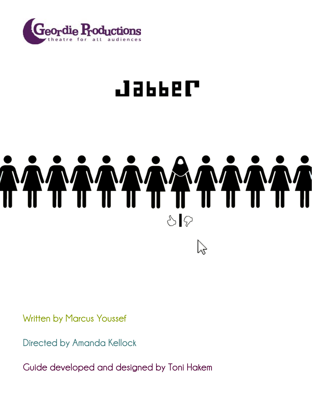

### Jappe

# $\mathcal{S}|\mathcal{D}$

**Written by Marcus Youssef**

**Directed by Amanda Kellock**

**Guide developed and designed by Toni Hakem**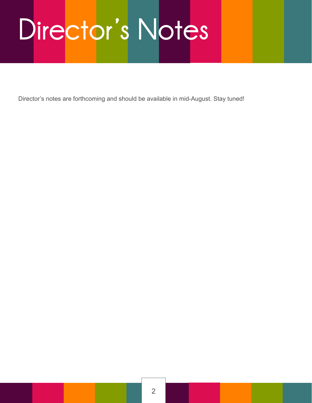## **Director's Notes**

Director's notes are forthcoming and should be available in mid-August. Stay tuned!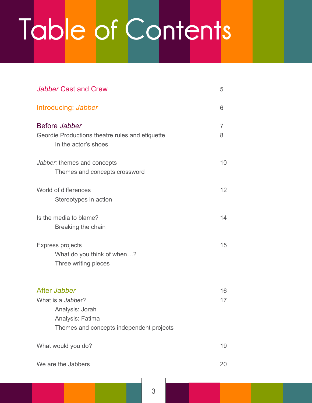## **Table of Contents**

| <b>Jabber Cast and Crew</b>                                                                                          | 5        |
|----------------------------------------------------------------------------------------------------------------------|----------|
| Introducing: Jabber                                                                                                  | 6        |
| Before Jabber<br>Geordie Productions theatre rules and etiquette<br>In the actor's shoes                             | 7<br>8   |
| Jabber: themes and concepts<br>Themes and concepts crossword                                                         | 10       |
| World of differences<br>Stereotypes in action                                                                        | 12       |
| Is the media to blame?<br>Breaking the chain                                                                         | 14       |
| <b>Express projects</b><br>What do you think of when?<br>Three writing pieces                                        | 15       |
| After Jabber<br>What is a Jabber?<br>Analysis: Jorah<br>Analysis: Fatima<br>Themes and concepts independent projects | 16<br>17 |
| What would you do?                                                                                                   | 19       |
| We are the Jabbers                                                                                                   | 20       |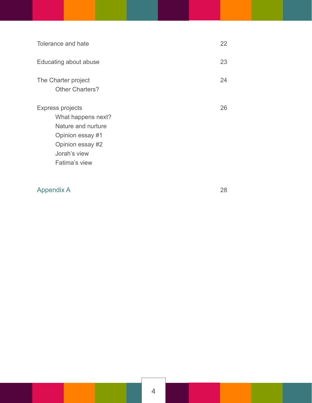| Tolerance and hate                                                                                                                           | 22 |
|----------------------------------------------------------------------------------------------------------------------------------------------|----|
| Educating about abuse                                                                                                                        | 23 |
| The Charter project<br><b>Other Charters?</b>                                                                                                | 24 |
| <b>Express projects</b><br>What happens next?<br>Nature and nurture<br>Opinion essay #1<br>Opinion essay #2<br>Jorah's view<br>Fatima's view | 26 |

[Appendix A 28](#page-27-0)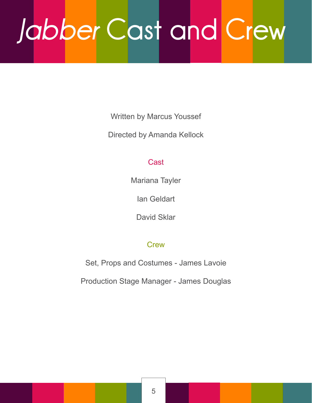## <span id="page-4-0"></span>*Jabber* **Cast and Crew**

Written by Marcus Youssef

Directed by Amanda Kellock

#### Cast

Mariana Tayler

Ian Geldart

David Sklar

#### **Crew**

Set, Props and Costumes - James Lavoie

Production Stage Manager - James Douglas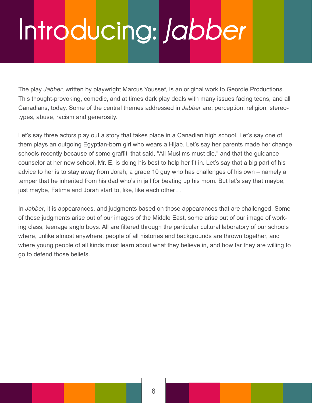## <span id="page-5-0"></span>**Introducing:** *Jabber*

The play *Jabber*, written by playwright Marcus Youssef, is an original work to Geordie Productions. This thought-provoking, comedic, and at times dark play deals with many issues facing teens, and all Canadians, today. Some of the central themes addressed in *Jabber* are: perception, religion, stereotypes, abuse, racism and generosity.

Let's say three actors play out a story that takes place in a Canadian high school. Let's say one of them plays an outgoing Egyptian-born girl who wears a Hijab. Let's say her parents made her change schools recently because of some graffiti that said, "All Muslims must die," and that the guidance counselor at her new school, Mr. E, is doing his best to help her fit in. Let's say that a big part of his advice to her is to stay away from Jorah, a grade 10 guy who has challenges of his own – namely a temper that he inherited from his dad who's in jail for beating up his mom. But let's say that maybe, just maybe, Fatima and Jorah start to, like, like each other…

In *Jabber*, it is appearances, and judgments based on those appearances that are challenged. Some of those judgments arise out of our images of the Middle East, some arise out of our image of working class, teenage anglo boys. All are filtered through the particular cultural laboratory of our schools where, unlike almost anywhere, people of all histories and backgrounds are thrown together, and where young people of all kinds must learn about what they believe in, and how far they are willing to go to defend those beliefs.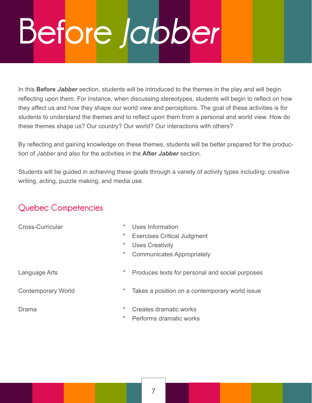## <span id="page-6-0"></span>**Before** *Jabber*

In this **Before** *Jabber* section, students will be introduced to the themes in the play and will begin reflecting upon them. For instance, when discussing stereotypes, students will begin to reflect on how they affect us and how they shape our world view and perceptions. The goal of these activities is for students to understand the themes and to reflect upon them from a personal and world view. How do these themes shape us? Our country? Our world? Our interactions with others?

By reflecting and gaining knowledge on these themes, students will be better prepared for the production of *Jabber* and also for the activities in the **After** *Jabber* section.

Students will be guided in achieving these goals through a variety of activity types including: creative writing, acting, puzzle making, and media use.

#### **Quebec Competencies**

| Cross-Curricular          | $\ast$   | Uses Information                                |
|---------------------------|----------|-------------------------------------------------|
|                           | $\ast$   | <b>Exercises Critical Judgment</b>              |
|                           | $\ast$   | <b>Uses Creativity</b>                          |
|                           | $^\star$ | <b>Communicates Appropriately</b>               |
| Language Arts             | $\ast$   | Produces texts for personal and social purposes |
| <b>Contemporary World</b> | $\ast$   | Takes a position on a contemporary world issue  |
| Drama                     | $\ast$   | Creates dramatic works                          |
|                           | $\ast$   | Performs dramatic works                         |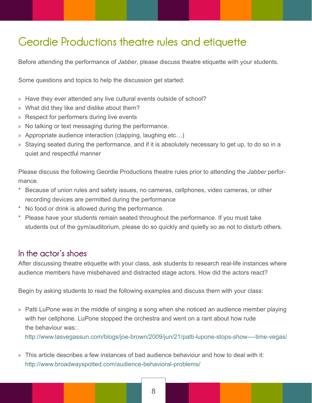#### <span id="page-7-0"></span>**Geordie Productions theatre rules and etiquette**

Before attending the performance of *Jabber*, please discuss theatre etiquette with your students.

Some questions and topics to help the discussion get started:

- » Have they ever attended any live cultural events outside of school?
- » What did they like and dislike about them?
- » Respect for performers during live events
- » No talking or text messaging during the performance.
- » Appropriate audience interaction (clapping, laughing etc…)
- » Staying seated during the performance, and if it is absolutely necessary to get up, to do so in a quiet and respectful manner

Please discuss the following Geordie Productions theatre rules prior to attending the *Jabber* performance.

- \* Because of union rules and safety issues, no cameras, cellphones, video cameras, or other recording devices are permitted during the performance
- \* No food or drink is allowed during the performance.
- \* Please have your students remain seated throughout the performance. If you must take students out of the gym/auditorium, please do so quickly and quietly so as not to disturb others.

#### **In the actor's shoes**

After discussing theatre etiquette with your class, ask students to research real-life instances where audience members have misbehaved and distracted stage actors. How did the actors react?

Begin by asking students to read the following examples and discuss them with your class:

» Patti LuPone was in the middle of singing a song when she noticed an audience member playing with her cellphone. LuPone stopped the orchestra and went on a rant about how rude the behaviour was:.

http://www.lasvegassun.com/blogs/joe-brown/2009/jun/21/patti-lupone-stops-show----time-vegas/

» This article describes a few instances of bad audience behaviour and how to deal with it: http://www.broadwayspotted.com/audience-behavioral-problems/

8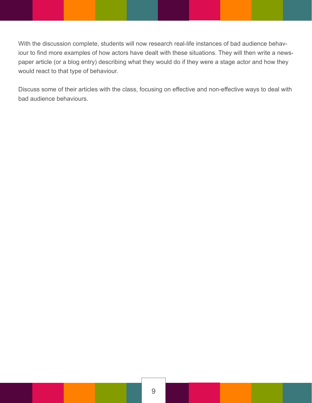With the discussion complete, students will now research real-life instances of bad audience behaviour to find more examples of how actors have dealt with these situations. They will then write a newspaper article (or a blog entry) describing what they would do if they were a stage actor and how they would react to that type of behaviour.

Discuss some of their articles with the class, focusing on effective and non-effective ways to deal with bad audience behaviours.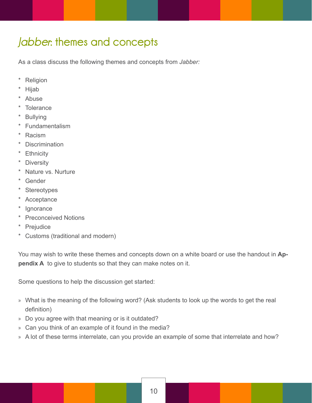#### <span id="page-9-0"></span>*Jabber***: themes and concepts**

As a class discuss the following themes and concepts from *Jabber:*

- **Religion**
- **Hijab**
- **Abuse**
- **Tolerance**
- **Bullying**
- **Fundamentalism**
- Racism
- \* Discrimination
- \* Ethnicity
- \* Diversity
- \* Nature vs. Nurture
- Gender
- **Stereotypes**
- \* Acceptance
- \* Ignorance
- \* Preconceived Notions
- \* Prejudice
- \* Customs (traditional and modern)

You may wish to write these themes and concepts down on a white board or use the handout in **Appendix A** to give to students so that they can make notes on it.

Some questions to help the discussion get started:

- » What is the meaning of the following word? (Ask students to look up the words to get the real definition)
- » Do you agree with that meaning or is it outdated?
- » Can you think of an example of it found in the media?
- » A lot of these terms interrelate, can you provide an example of some that interrelate and how?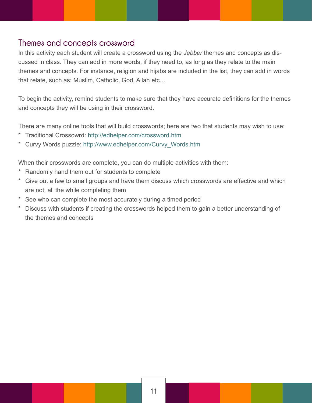#### <span id="page-10-0"></span>**Themes and concepts crossword**

In this activity each student will create a crossword using the *Jabber* themes and concepts as discussed in class. They can add in more words, if they need to, as long as they relate to the main themes and concepts. For instance, religion and hijabs are included in the list, they can add in words that relate, such as: Muslim, Catholic, God, Allah etc…

To begin the activity, remind students to make sure that they have accurate definitions for the themes and concepts they will be using in their crossword.

There are many online tools that will build crosswords; here are two that students may wish to use:

- \* Traditional Crossowrd: http://edhelper.com/crossword.htm
- \* Curvy Words puzzle: http://www.edhelper.com/Curvy\_Words.htm

When their crosswords are complete, you can do multiple activities with them:

- Randomly hand them out for students to complete
- \* Give out a few to small groups and have them discuss which crosswords are effective and which are not, all the while completing them
- \* See who can complete the most accurately during a timed period
- Discuss with students if creating the crosswords helped them to gain a better understanding of the themes and concepts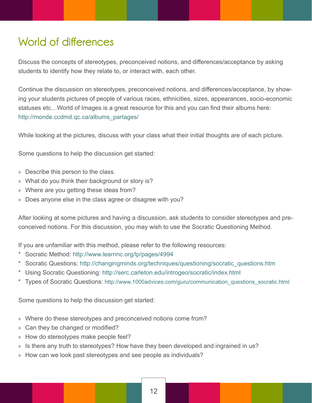#### <span id="page-11-0"></span>**World of differences**

Discuss the concepts of stereotypes, preconceived notions, and differences/acceptance by asking students to identify how they relate to, or interact with, each other.

Continue the discussion on stereotypes, preconceived notions, and differences/acceptance, by showing your students pictures of people of various races, ethnicities, sizes, appearances, socio-economic statuses etc…World of Images is a great resource for this and you can find their albums here: http://monde.ccdmd.qc.ca/albums\_partages/

While looking at the pictures, discuss with your class what their initial thoughts are of each picture.

Some questions to help the discussion get started:

- » Describe this person to the class.
- » What do you think their background or story is?
- » Where are you getting these ideas from?
- » Does anyone else in the class agree or disagree with you?

After looking at some pictures and having a discussion, ask students to consider stereotypes and preconceived notions. For this discussion, you may wish to use the Socratic Questioning Method.

If you are unfamiliar with this method, please refer to the following resources:

- Socratic Method: http://www.learnnc.org/lp/pages/4994
- Socratic Questions: http://changingminds.org/techniques/questioning/socratic\_questions.htm
- \* Using Socratic Questioning: http://serc.carleton.edu/introgeo/socratic/index.html
- \* Types of Socratic Questions: http://www.1000advices.com/guru/communication\_questions\_socratic.html

Some questions to help the discussion get started:

- » Where do these stereotypes and preconceived notions come from?
- » Can they be changed or modified?
- » How do stereotypes make people feel?
- » Is there any truth to stereotypes? How have they been developed and ingrained in us?
- » How can we look past stereotypes and see people as individuals?

12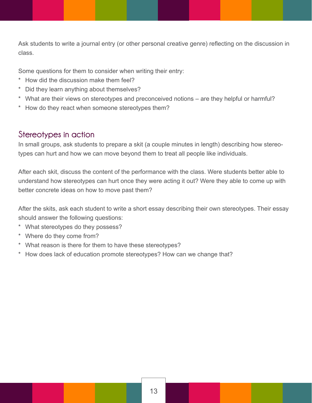<span id="page-12-0"></span>Ask students to write a journal entry (or other personal creative genre) reflecting on the discussion in class.

Some questions for them to consider when writing their entry:

- How did the discussion make them feel?
- \* Did they learn anything about themselves?
- \* What are their views on stereotypes and preconceived notions are they helpful or harmful?
- \* How do they react when someone stereotypes them?

#### **Stereotypes in action**

In small groups, ask students to prepare a skit (a couple minutes in length) describing how stereotypes can hurt and how we can move beyond them to treat all people like individuals.

After each skit, discuss the content of the performance with the class. Were students better able to understand how stereotypes can hurt once they were acting it out? Were they able to come up with better concrete ideas on how to move past them?

After the skits, ask each student to write a short essay describing their own stereotypes. Their essay should answer the following questions:

- \* What stereotypes do they possess?
- \* Where do they come from?
- \* What reason is there for them to have these stereotypes?
- \* How does lack of education promote stereotypes? How can we change that?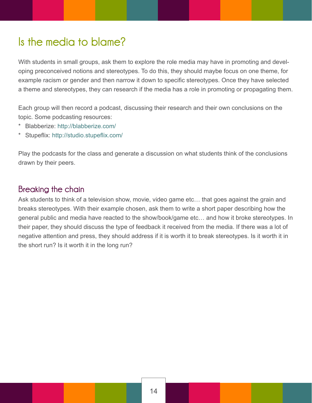#### <span id="page-13-0"></span>**Is the media to blame?**

With students in small groups, ask them to explore the role media may have in promoting and developing preconceived notions and stereotypes. To do this, they should maybe focus on one theme, for example racism or gender and then narrow it down to specific stereotypes. Once they have selected a theme and stereotypes, they can research if the media has a role in promoting or propagating them.

Each group will then record a podcast, discussing their research and their own conclusions on the topic. Some podcasting resources:

- Blabberize: http://blabberize.com/
- \* Stupeflix: http://studio.stupeflix.com/

Play the podcasts for the class and generate a discussion on what students think of the conclusions drawn by their peers.

#### **Breaking the chain**

Ask students to think of a television show, movie, video game etc… that goes against the grain and breaks stereotypes. With their example chosen, ask them to write a short paper describing how the general public and media have reacted to the show/book/game etc… and how it broke stereotypes. In their paper, they should discuss the type of feedback it received from the media. If there was a lot of negative attention and press, they should address if it is worth it to break stereotypes. Is it worth it in the short run? Is it worth it in the long run?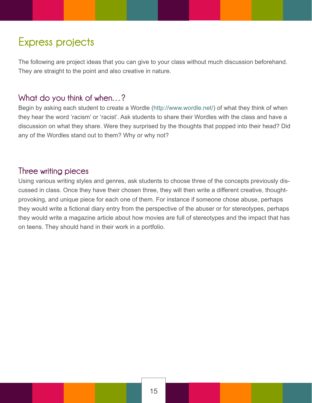#### <span id="page-14-0"></span>**Express projects**

The following are project ideas that you can give to your class without much discussion beforehand. They are straight to the point and also creative in nature.

#### **What do you think of when…?**

Begin by asking each student to create a Wordle (http://www.wordle.net/) of what they think of when they hear the word 'racism' or 'racist'. Ask students to share their Wordles with the class and have a discussion on what they share. Were they surprised by the thoughts that popped into their head? Did any of the Wordles stand out to them? Why or why not?

#### **Three writing pieces**

Using various writing styles and genres, ask students to choose three of the concepts previously discussed in class. Once they have their chosen three, they will then write a different creative, thoughtprovoking, and unique piece for each one of them. For instance if someone chose abuse, perhaps they would write a fictional diary entry from the perspective of the abuser or for stereotypes, perhaps they would write a magazine article about how movies are full of stereotypes and the impact that has on teens. They should hand in their work in a portfolio.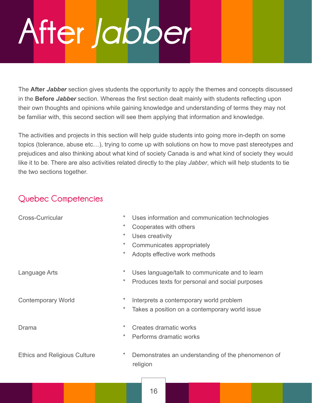## <span id="page-15-0"></span>**After** *Jabber*

The **After** *Jabber* section gives students the opportunity to apply the themes and concepts discussed in the **Before** *Jabber* section. Whereas the first section dealt mainly with students reflecting upon their own thoughts and opinions while gaining knowledge and understanding of terms they may not be familiar with, this second section will see them applying that information and knowledge.

The activities and projects in this section will help guide students into going more in-depth on some topics (tolerance, abuse etc…), trying to come up with solutions on how to move past stereotypes and prejudices and also thinking about what kind of society Canada is and what kind of society they would like it to be. There are also activities related directly to the play *Jabber*, which will help students to tie the two sections together.

#### **Quebec Competencies**

| <b>Cross-Curricular</b><br>$^\star$ |          | Uses information and communication technologies                |
|-------------------------------------|----------|----------------------------------------------------------------|
|                                     | $\ast$   | Cooperates with others                                         |
|                                     | $^\star$ | Uses creativity                                                |
|                                     | $\ast$   | Communicates appropriately                                     |
|                                     | $^\star$ | Adopts effective work methods                                  |
| Language Arts                       | $^\star$ | Uses language/talk to communicate and to learn                 |
|                                     | $^\star$ | Produces texts for personal and social purposes                |
| <b>Contemporary World</b>           | *        | Interprets a contemporary world problem                        |
|                                     | $^\star$ | Takes a position on a contemporary world issue                 |
| Drama                               | $\ast$   | Creates dramatic works                                         |
|                                     | $\ast$   | Performs dramatic works                                        |
| <b>Ethics and Religious Culture</b> | $\ast$   | Demonstrates an understanding of the phenomenon of<br>religion |
|                                     |          |                                                                |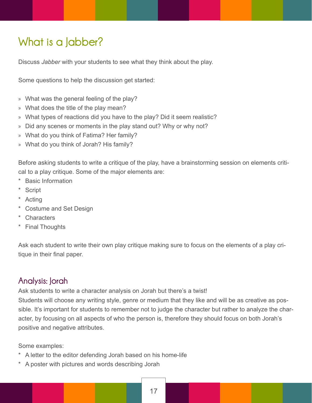#### <span id="page-16-0"></span>**What is a Jabber?**

Discuss *Jabber* with your students to see what they think about the play.

Some questions to help the discussion get started:

- » What was the general feeling of the play?
- » What does the title of the play mean?
- » What types of reactions did you have to the play? Did it seem realistic?
- » Did any scenes or moments in the play stand out? Why or why not?
- » What do you think of Fatima? Her family?
- » What do you think of Jorah? His family?

Before asking students to write a critique of the play, have a brainstorming session on elements critical to a play critique. Some of the major elements are:

- **Basic Information**
- **Script**
- **Acting**
- \* Costume and Set Design
- \* Characters
- \* Final Thoughts

Ask each student to write their own play critique making sure to focus on the elements of a play critique in their final paper.

#### **Analysis: Jorah**

Ask students to write a character analysis on Jorah but there's a twist!

Students will choose any writing style, genre or medium that they like and will be as creative as possible. It's important for students to remember not to judge the character but rather to analyze the character, by focusing on all aspects of who the person is, therefore they should focus on both Jorah's positive and negative attributes.

Some examples:

- A letter to the editor defending Jorah based on his home-life
- \* A poster with pictures and words describing Jorah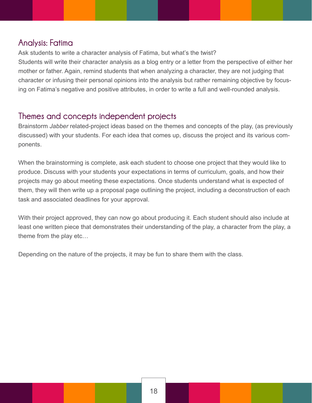#### <span id="page-17-0"></span>**Analysis: Fatima**

Ask students to write a character analysis of Fatima, but what's the twist? Students will write their character analysis as a blog entry or a letter from the perspective of either her mother or father. Again, remind students that when analyzing a character, they are not judging that character or infusing their personal opinions into the analysis but rather remaining objective by focusing on Fatima's negative and positive attributes, in order to write a full and well-rounded analysis.

#### **Themes and concepts independent projects**

Brainstorm *Jabber* related-project ideas based on the themes and concepts of the play, (as previously discussed) with your students. For each idea that comes up, discuss the project and its various components.

When the brainstorming is complete, ask each student to choose one project that they would like to produce. Discuss with your students your expectations in terms of curriculum, goals, and how their projects may go about meeting these expectations. Once students understand what is expected of them, they will then write up a proposal page outlining the project, including a deconstruction of each task and associated deadlines for your approval.

With their project approved, they can now go about producing it. Each student should also include at least one written piece that demonstrates their understanding of the play, a character from the play, a theme from the play etc…

Depending on the nature of the projects, it may be fun to share them with the class.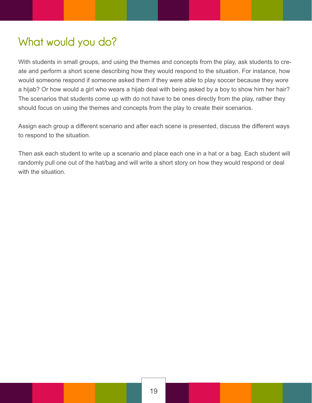#### <span id="page-18-0"></span>**What would you do?**

With students in small groups, and using the themes and concepts from the play, ask students to create and perform a short scene describing how they would respond to the situation. For instance, how would someone respond if someone asked them if they were able to play soccer because they wore a hijab? Or how would a girl who wears a hijab deal with being asked by a boy to show him her hair? The scenarios that students come up with do not have to be ones directly from the play, rather they should focus on using the themes and concepts from the play to create their scenarios.

Assign each group a different scenario and after each scene is presented, discuss the different ways to respond to the situation.

Then ask each student to write up a scenario and place each one in a hat or a bag. Each student will randomly pull one out of the hat/bag and will write a short story on how they would respond or deal with the situation.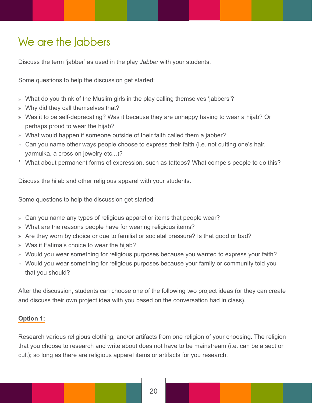#### <span id="page-19-0"></span>**We are the Jabbers**

Discuss the term 'jabber' as used in the play *Jabber* with your students.

Some questions to help the discussion get started:

- » What do you think of the Muslim girls in the play calling themselves 'jabbers'?
- » Why did they call themselves that?
- » Was it to be self-deprecating? Was it because they are unhappy having to wear a hijab? Or perhaps proud to wear the hijab?
- » What would happen if someone outside of their faith called them a jabber?
- » Can you name other ways people choose to express their faith (i.e. not cutting one's hair, yarmulka, a cross on jewelry etc...)?
- \* What about permanent forms of expression, such as tattoos? What compels people to do this?

Discuss the hijab and other religious apparel with your students.

Some questions to help the discussion get started:

- » Can you name any types of religious apparel or items that people wear?
- » What are the reasons people have for wearing religious items?
- » Are they worn by choice or due to familial or societal pressure? Is that good or bad?
- » Was it Fatima's choice to wear the hijab?
- » Would you wear something for religious purposes because you wanted to express your faith?
- » Would you wear something for religious purposes because your family or community told you that you should?

After the discussion, students can choose one of the following two project ideas (or they can create and discuss their own project idea with you based on the conversation had in class).

#### **Option 1:**

Research various religious clothing, and/or artifacts from one religion of your choosing. The religion that you choose to research and write about does not have to be mainstream (i.e. can be a sect or cult); so long as there are religious apparel items or artifacts for you research.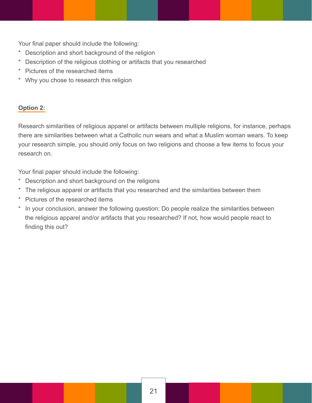Your final paper should include the following:

- \* Description and short background of the religion
- \* Description of the religious clothing or artifacts that you researched
- \* Pictures of the researched items
- \* Why you chose to research this religion

#### **Option 2:**

Research similarities of religious apparel or artifacts between multiple religions, for instance, perhaps there are similarities between what a Catholic nun wears and what a Muslim woman wears. To keep your research simple, you should only focus on two religions and choose a few items to focus your research on.

Your final paper should include the following:

- \* Description and short background on the religions
- \* The religious apparel or artifacts that you researched and the similarities between them
- Pictures of the researched items
- \* In your conclusion, answer the following question: Do people realize the similarities between the religious apparel and/or artifacts that you researched? If not, how would people react to finding this out?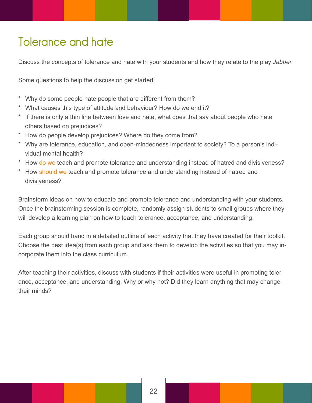#### <span id="page-21-0"></span>**Tolerance and hate**

Discuss the concepts of tolerance and hate with your students and how they relate to the play *Jabber.*

Some questions to help the discussion get started:

- \* Why do some people hate people that are different from them?
- \* What causes this type of attitude and behaviour? How do we end it?
- \* If there is only a thin line between love and hate, what does that say about people who hate others based on prejudices?
- \* How do people develop prejudices? Where do they come from?
- \* Why are tolerance, education, and open-mindedness important to society? To a person's indi vidual mental health?
- \* How do we teach and promote tolerance and understanding instead of hatred and divisiveness?
- \* How should we teach and promote tolerance and understanding instead of hatred and divisiveness?

Brainstorm ideas on how to educate and promote tolerance and understanding with your students. Once the brainstorming session is complete, randomly assign students to small groups where they will develop a learning plan on how to teach tolerance, acceptance, and understanding.

Each group should hand in a detailed outline of each activity that they have created for their toolkit. Choose the best idea(s) from each group and ask them to develop the activities so that you may incorporate them into the class curriculum.

After teaching their activities, discuss with students if their activities were useful in promoting tolerance, acceptance, and understanding. Why or why not? Did they learn anything that may change their minds?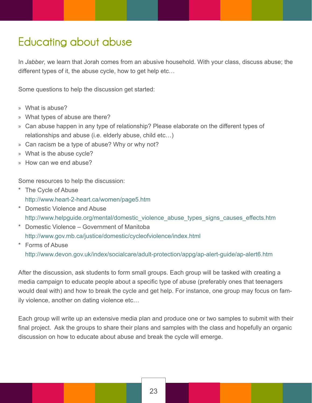#### <span id="page-22-0"></span>**Educating about abuse**

In *Jabber*, we learn that Jorah comes from an abusive household. With your class, discuss abuse; the different types of it, the abuse cycle, how to get help etc…

Some questions to help the discussion get started:

- » What is abuse?
- » What types of abuse are there?
- » Can abuse happen in any type of relationship? Please elaborate on the different types of relationships and abuse (i.e. elderly abuse, child etc…)
- » Can racism be a type of abuse? Why or why not?
- » What is the abuse cycle?
- » How can we end abuse?

Some resources to help the discussion:

- \* The Cycle of Abuse http://www.heart-2-heart.ca/women/page5.htm
- \* Domestic Violence and Abuse http://www.helpguide.org/mental/domestic\_violence\_abuse\_types\_signs\_causes\_effects.htm
- \* Domestic Violence Government of Manitoba http://www.gov.mb.ca/justice/domestic/cycleofviolence/index.html
- \* Forms of Abuse http://www.devon.gov.uk/index/socialcare/adult-protection/appg/ap-alert-guide/ap-alert6.htm

After the discussion, ask students to form small groups. Each group will be tasked with creating a media campaign to educate people about a specific type of abuse (preferably ones that teenagers would deal with) and how to break the cycle and get help. For instance, one group may focus on family violence, another on dating violence etc…

Each group will write up an extensive media plan and produce one or two samples to submit with their final project. Ask the groups to share their plans and samples with the class and hopefully an organic discussion on how to educate about abuse and break the cycle will emerge.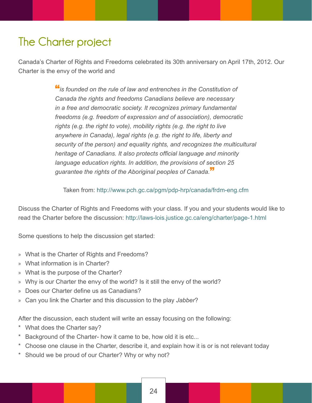#### <span id="page-23-0"></span>**The Charter project**

Canada's Charter of Rights and Freedoms celebrated its 30th anniversary on April 17th, 2012. Our Charter is the envy of the world and

> "*is founded on the rule of law and entrenches in the Constitution of Canada the rights and freedoms Canadians believe are necessary in a free and democratic society. It recognizes primary fundamental freedoms (e.g. freedom of expression and of association), democratic*  rights (e.g. the right to vote), mobility rights (e.g. the right to live  *anywhere in Canada), legal rights (e.g. the right to life, liberty and security of the person) and equality rights, and recognizes the multicultural heritage of Canadians. It also protects official language and minority language education rights. In addition, the provisions of section 25 guarantee the rights of the Aboriginal peoples of Canada.*"

Taken from: http://www.pch.gc.ca/pgm/pdp-hrp/canada/frdm-eng.cfm

Discuss the Charter of Rights and Freedoms with your class. If you and your students would like to read the Charter before the discussion: http://laws-lois.justice.gc.ca/eng/charter/page-1.html

Some questions to help the discussion get started:

- » What is the Charter of Rights and Freedoms?
- » What information is in Charter?
- » What is the purpose of the Charter?
- » Why is our Charter the envy of the world? Is it still the envy of the world?
- » Does our Charter define us as Canadians?
- » Can you link the Charter and this discussion to the play *Jabber*?

After the discussion, each student will write an essay focusing on the following:

- What does the Charter say?
- Background of the Charter- how it came to be, how old it is etc...
- Choose one clause in the Charter, describe it, and explain how it is or is not relevant today
- \* Should we be proud of our Charter? Why or why not?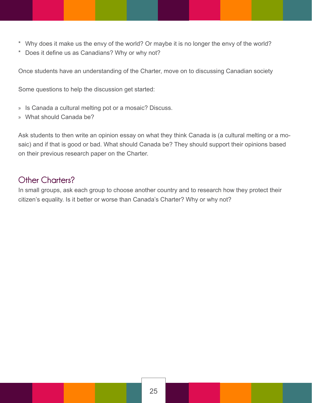- <span id="page-24-0"></span>\* Why does it make us the envy of the world? Or maybe it is no longer the envy of the world?
- \* Does it define us as Canadians? Why or why not?

Once students have an understanding of the Charter, move on to discussing Canadian society

Some questions to help the discussion get started:

- » Is Canada a cultural melting pot or a mosaic? Discuss.
- » What should Canada be?

Ask students to then write an opinion essay on what they think Canada is (a cultural melting or a mosaic) and if that is good or bad. What should Canada be? They should support their opinions based on their previous research paper on the Charter.

#### **Other Charters?**

In small groups, ask each group to choose another country and to research how they protect their citizen's equality. Is it better or worse than Canada's Charter? Why or why not?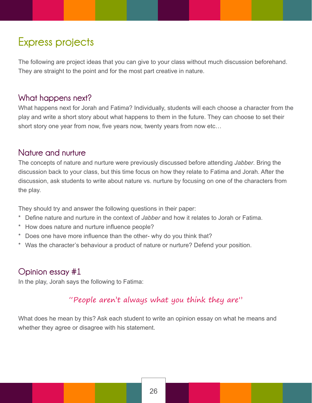#### <span id="page-25-0"></span>**Express projects**

The following are project ideas that you can give to your class without much discussion beforehand. They are straight to the point and for the most part creative in nature.

#### **What happens next?**

What happens next for Jorah and Fatima? Individually, students will each choose a character from the play and write a short story about what happens to them in the future. They can choose to set their short story one year from now, five years now, twenty years from now etc…

#### **Nature and nurture**

The concepts of nature and nurture were previously discussed before attending *Jabber*. Bring the discussion back to your class, but this time focus on how they relate to Fatima and Jorah. After the discussion, ask students to write about nature vs. nurture by focusing on one of the characters from the play.

They should try and answer the following questions in their paper:

- Define nature and nurture in the context of *Jabber* and how it relates to Jorah or Fatima.
- How does nature and nurture influence people?
- \* Does one have more influence than the other- why do you think that?
- \* Was the character's behaviour a product of nature or nurture? Defend your position.

#### **Opinion essay #1**

In the play, Jorah says the following to Fatima:

#### "People aren't always what you think they are"

What does he mean by this? Ask each student to write an opinion essay on what he means and whether they agree or disagree with his statement.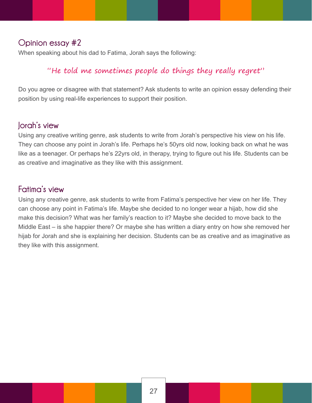#### <span id="page-26-0"></span>**Opinion essay #2**

When speaking about his dad to Fatima, Jorah says the following:

#### "He told me sometimes people do things they really regret"

Do you agree or disagree with that statement? Ask students to write an opinion essay defending their position by using real-life experiences to support their position.

#### **Jorah's view**

Using any creative writing genre, ask students to write from Jorah's perspective his view on his life. They can choose any point in Jorah's life. Perhaps he's 50yrs old now, looking back on what he was like as a teenager. Or perhaps he's 22yrs old, in therapy, trying to figure out his life. Students can be as creative and imaginative as they like with this assignment.

#### **Fatima's view**

Using any creative genre, ask students to write from Fatima's perspective her view on her life. They can choose any point in Fatima's life. Maybe she decided to no longer wear a hijab, how did she make this decision? What was her family's reaction to it? Maybe she decided to move back to the Middle East – is she happier there? Or maybe she has written a diary entry on how she removed her hijab for Jorah and she is explaining her decision. Students can be as creative and as imaginative as they like with this assignment.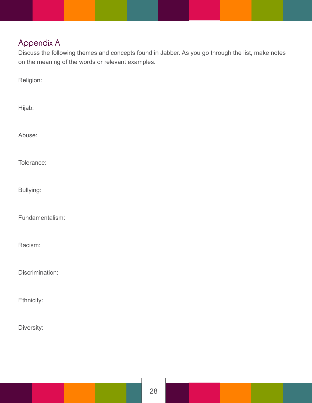#### <span id="page-27-0"></span>**Appendix A**

Discuss the following themes and concepts found in Jabber. As you go through the list, make notes on the meaning of the words or relevant examples.

Religion:

Hijab:

Abuse:

Tolerance:

Bullying:

Fundamentalism:

Racism:

Discrimination:

Ethnicity:

Diversity: